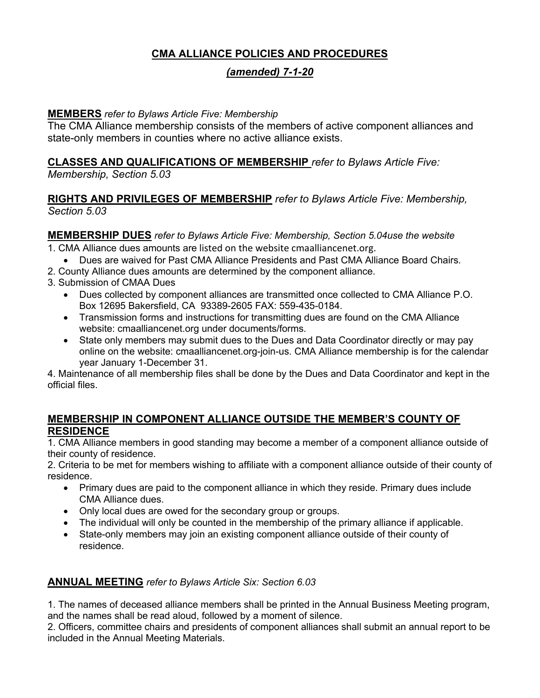# **CMA ALLIANCE POLICIES AND PROCEDURES**

# *(amended) 7-1-20*

# **MEMBERS** *refer to Bylaws Article Five: Membership*

The CMA Alliance membership consists of the members of active component alliances and state-only members in counties where no active alliance exists.

# **CLASSES AND QUALIFICATIONS OF MEMBERSHIP** *refer to Bylaws Article Five:*

*Membership, Section 5.03*

# **RIGHTS AND PRIVILEGES OF MEMBERSHIP** *refer to Bylaws Article Five: Membership, Section 5.03*

**MEMBERSHIP DUES** *refer to Bylaws Article Five: Membership, Section 5.04use the website*  1. CMA Alliance dues amounts are listed on the website cmaalliancenet.org.

- Dues are waived for Past CMA Alliance Presidents and Past CMA Alliance Board Chairs.
- 2. County Alliance dues amounts are determined by the component alliance.
- 3. Submission of CMAA Dues
	- Dues collected by component alliances are transmitted once collected to CMA Alliance P.O. Box 12695 Bakersfield, CA 93389-2605 FAX: 559-435-0184.
	- Transmission forms and instructions for transmitting dues are found on the CMA Alliance website: cmaalliancenet.org under documents/forms.
	- State only members may submit dues to the Dues and Data Coordinator directly or may pay online on the website: cmaalliancenet.org-join-us. CMA Alliance membership is for the calendar year January 1-December 31.

4. Maintenance of all membership files shall be done by the Dues and Data Coordinator and kept in the official files.

# **MEMBERSHIP IN COMPONENT ALLIANCE OUTSIDE THE MEMBER'S COUNTY OF RESIDENCE**

1. CMA Alliance members in good standing may become a member of a component alliance outside of their county of residence.

2. Criteria to be met for members wishing to affiliate with a component alliance outside of their county of residence.

- Primary dues are paid to the component alliance in which they reside. Primary dues include CMA Alliance dues.
- Only local dues are owed for the secondary group or groups.
- The individual will only be counted in the membership of the primary alliance if applicable.
- State-only members may join an existing component alliance outside of their county of residence.

# **ANNUAL MEETING** *refer to Bylaws Article Six: Section 6.03*

1. The names of deceased alliance members shall be printed in the Annual Business Meeting program, and the names shall be read aloud, followed by a moment of silence.

2. Officers, committee chairs and presidents of component alliances shall submit an annual report to be included in the Annual Meeting Materials.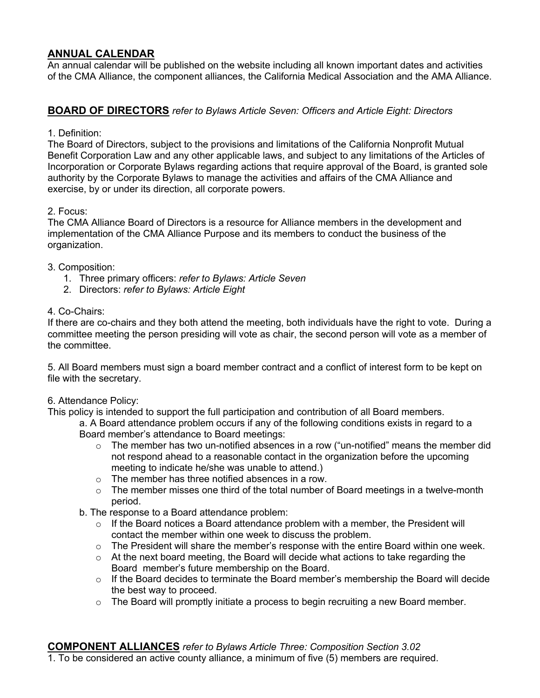# **ANNUAL CALENDAR**

An annual calendar will be published on the website including all known important dates and activities of the CMA Alliance, the component alliances, the California Medical Association and the AMA Alliance.

# **BOARD OF DIRECTORS** *refer to Bylaws Article Seven: Officers and Article Eight: Directors*

### 1. Definition:

The Board of Directors, subject to the provisions and limitations of the California Nonprofit Mutual Benefit Corporation Law and any other applicable laws, and subject to any limitations of the Articles of Incorporation or Corporate Bylaws regarding actions that require approval of the Board, is granted sole authority by the Corporate Bylaws to manage the activities and affairs of the CMA Alliance and exercise, by or under its direction, all corporate powers.

## 2. Focus:

The CMA Alliance Board of Directors is a resource for Alliance members in the development and implementation of the CMA Alliance Purpose and its members to conduct the business of the organization.

### 3. Composition:

- 1. Three primary officers: *refer to Bylaws: Article Seven*
- 2. Directors: *refer to Bylaws: Article Eight*

## 4. Co-Chairs:

If there are co-chairs and they both attend the meeting, both individuals have the right to vote. During a committee meeting the person presiding will vote as chair, the second person will vote as a member of the committee.

5. All Board members must sign a board member contract and a conflict of interest form to be kept on file with the secretary.

### 6. Attendance Policy:

This policy is intended to support the full participation and contribution of all Board members.

a. A Board attendance problem occurs if any of the following conditions exists in regard to a Board member's attendance to Board meetings:

- o The member has two un-notified absences in a row ("un-notified" means the member did not respond ahead to a reasonable contact in the organization before the upcoming meeting to indicate he/she was unable to attend.)
- o The member has three notified absences in a row.
- o The member misses one third of the total number of Board meetings in a twelve-month period.
- b. The response to a Board attendance problem:
	- $\circ$  If the Board notices a Board attendance problem with a member, the President will contact the member within one week to discuss the problem.
	- $\circ$  The President will share the member's response with the entire Board within one week.
	- o At the next board meeting, the Board will decide what actions to take regarding the Board member's future membership on the Board.
	- $\circ$  If the Board decides to terminate the Board member's membership the Board will decide the best way to proceed.
	- $\circ$  The Board will promptly initiate a process to begin recruiting a new Board member.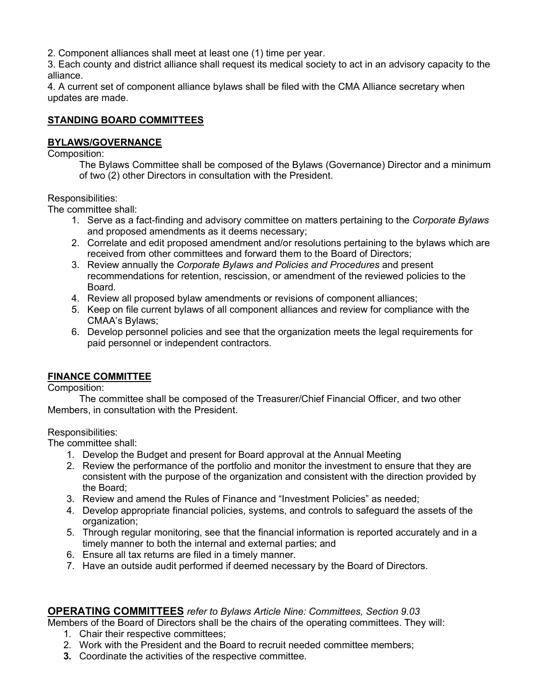2. Component alliances shall meet at least one (1) time per year.

3. Each county and district alliance shall request its medical society to act in an advisory capacity to the alliance.

4. A current set of component alliance bylaws shall be filed with the CMA Alliance secretary when updates are made.

# **STANDING BOARD COMMITTEES**

## **BYLAWS/GOVERNANCE**

Composition:

The Bylaws Committee shall be composed of the Bylaws (Governance) Director and a minimum of two (2) other Directors in consultation with the President.

Responsibilities:

The committee shall:

- 1. Serve as a fact-finding and advisory committee on matters pertaining to the *Corporate Bylaws* and proposed amendments as it deems necessary;
- 2. Correlate and edit proposed amendment and/or resolutions pertaining to the bylaws which are received from other committees and forward them to the Board of Directors;
- 3. Review annually the *Corporate Bylaws and Policies and Procedures* and present recommendations for retention, rescission, or amendment of the reviewed policies to the Board.
- 4. Review all proposed bylaw amendments or revisions of component alliances;
- 5. Keep on file current bylaws of all component alliances and review for compliance with the CMAA's Bylaws;
- 6. Develop personnel policies and see that the organization meets the legal requirements for paid personnel or independent contractors.

# **FINANCE COMMITTEE**

Composition:

The committee shall be composed of the Treasurer/Chief Financial Officer, and two other Members, in consultation with the President.

Responsibilities:

The committee shall:

- 1. Develop the Budget and present for Board approval at the Annual Meeting
- 2. Review the performance of the portfolio and monitor the investment to ensure that they are consistent with the purpose of the organization and consistent with the direction provided by the Board;
- 3. Review and amend the Rules of Finance and "Investment Policies" as needed;
- 4. Develop appropriate financial policies, systems, and controls to safeguard the assets of the organization;
- 5. Through regular monitoring, see that the financial information is reported accurately and in a timely manner to both the internal and external parties; and
- 6. Ensure all tax returns are filed in a timely manner.
- 7. Have an outside audit performed if deemed necessary by the Board of Directors.

# **OPERATING COMMITTEES** *refer to Bylaws Article Nine: Committees, Section 9.03*

Members of the Board of Directors shall be the chairs of the operating committees. They will:

- 1. Chair their respective committees;
- 2. Work with the President and the Board to recruit needed committee members;
- **3.** Coordinate the activities of the respective committee.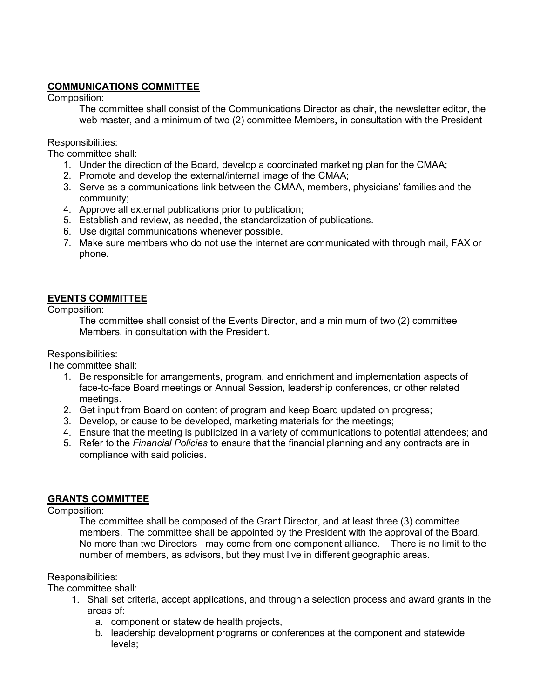# **COMMUNICATIONS COMMITTEE**

Composition:

The committee shall consist of the Communications Director as chair, the newsletter editor, the web master, and a minimum of two (2) committee Members**,** in consultation with the President

Responsibilities:

The committee shall:

- 1. Under the direction of the Board, develop a coordinated marketing plan for the CMAA;
- 2. Promote and develop the external/internal image of the CMAA;
- 3. Serve as a communications link between the CMAA, members, physicians' families and the community;
- 4. Approve all external publications prior to publication;
- 5. Establish and review, as needed, the standardization of publications.
- 6. Use digital communications whenever possible.
- 7. Make sure members who do not use the internet are communicated with through mail, FAX or phone.

## **EVENTS COMMITTEE**

Composition:

The committee shall consist of the Events Director, and a minimum of two (2) committee Members*,* in consultation with the President.

Responsibilities:

The committee shall:

- 1. Be responsible for arrangements, program, and enrichment and implementation aspects of face-to-face Board meetings or Annual Session, leadership conferences, or other related meetings.
- 2. Get input from Board on content of program and keep Board updated on progress;
- 3. Develop, or cause to be developed, marketing materials for the meetings;
- 4. Ensure that the meeting is publicized in a variety of communications to potential attendees; and
- 5. Refer to the *Financial Policies* to ensure that the financial planning and any contracts are in compliance with said policies.

# **GRANTS COMMITTEE**

Composition:

The committee shall be composed of the Grant Director, and at least three (3) committee members. The committee shall be appointed by the President with the approval of the Board. No more than two Directors may come from one component alliance. There is no limit to the number of members, as advisors, but they must live in different geographic areas.

### Responsibilities:

The committee shall:

- 1. Shall set criteria, accept applications, and through a selection process and award grants in the areas of:
	- a. component or statewide health projects,
	- b. leadership development programs or conferences at the component and statewide levels;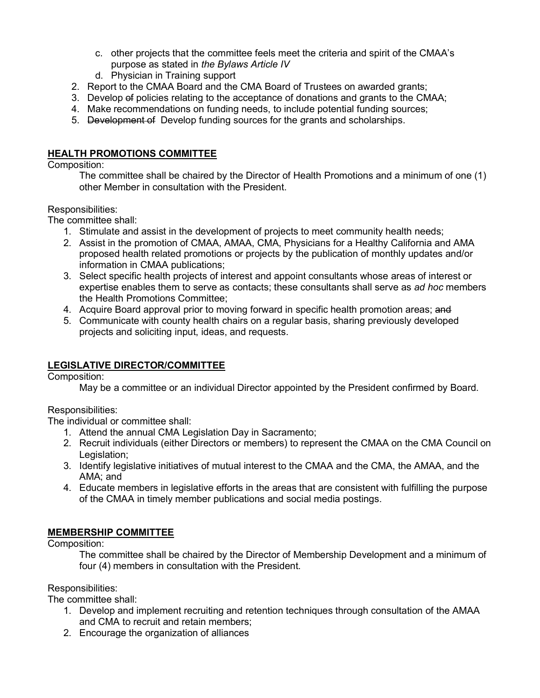- c. other projects that the committee feels meet the criteria and spirit of the CMAA's purpose as stated in *the Bylaws Article IV*
- d. Physician in Training support
- 2. Report to the CMAA Board and the CMA Board of Trustees on awarded grants;
- 3. Develop of policies relating to the acceptance of donations and grants to the CMAA;
- 4. Make recommendations on funding needs, to include potential funding sources;
- 5. Development of Develop funding sources for the grants and scholarships.

## **HEALTH PROMOTIONS COMMITTEE**

Composition:

The committee shall be chaired by the Director of Health Promotions and a minimum of one (1) other Member in consultation with the President.

Responsibilities:

The committee shall:

- 1. Stimulate and assist in the development of projects to meet community health needs;
- 2. Assist in the promotion of CMAA, AMAA, CMA, Physicians for a Healthy California and AMA proposed health related promotions or projects by the publication of monthly updates and/or information in CMAA publications;
- 3. Select specific health projects of interest and appoint consultants whose areas of interest or expertise enables them to serve as contacts; these consultants shall serve as *ad hoc* members the Health Promotions Committee;
- 4. Acquire Board approval prior to moving forward in specific health promotion areas; and
- 5. Communicate with county health chairs on a regular basis, sharing previously developed projects and soliciting input, ideas, and requests.

# **LEGISLATIVE DIRECTOR/COMMITTEE**

Composition:

May be a committee or an individual Director appointed by the President confirmed by Board.

Responsibilities:

The individual or committee shall:

- 1. Attend the annual CMA Legislation Day in Sacramento;
- 2. Recruit individuals (either Directors or members) to represent the CMAA on the CMA Council on Legislation;
- 3. Identify legislative initiatives of mutual interest to the CMAA and the CMA, the AMAA, and the AMA; and
- 4. Educate members in legislative efforts in the areas that are consistent with fulfilling the purpose of the CMAA in timely member publications and social media postings.

### **MEMBERSHIP COMMITTEE**

Composition:

The committee shall be chaired by the Director of Membership Development and a minimum of four (4) members in consultation with the President.

### Responsibilities:

The committee shall:

- 1. Develop and implement recruiting and retention techniques through consultation of the AMAA and CMA to recruit and retain members;
- 2. Encourage the organization of alliances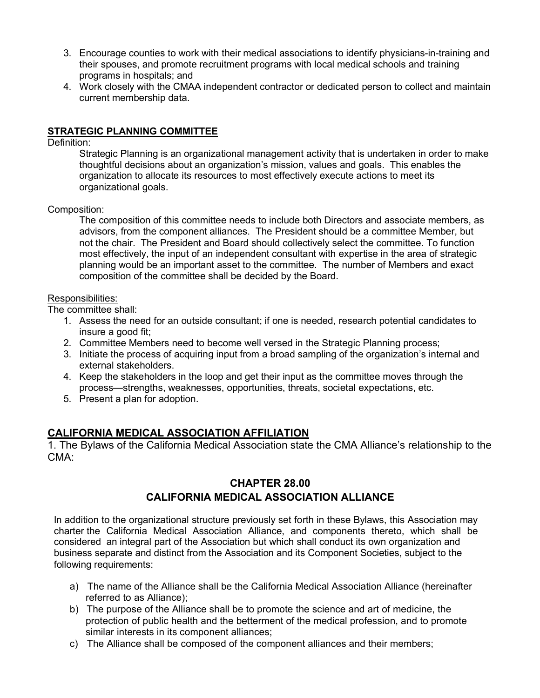- 3. Encourage counties to work with their medical associations to identify physicians-in-training and their spouses, and promote recruitment programs with local medical schools and training programs in hospitals; and
- 4. Work closely with the CMAA independent contractor or dedicated person to collect and maintain current membership data.

### **STRATEGIC PLANNING COMMITTEE**

Definition:

Strategic Planning is an organizational management activity that is undertaken in order to make thoughtful decisions about an organization's mission, values and goals. This enables the organization to allocate its resources to most effectively execute actions to meet its organizational goals.

Composition:

The composition of this committee needs to include both Directors and associate members, as advisors, from the component alliances. The President should be a committee Member, but not the chair. The President and Board should collectively select the committee. To function most effectively, the input of an independent consultant with expertise in the area of strategic planning would be an important asset to the committee. The number of Members and exact composition of the committee shall be decided by the Board.

#### Responsibilities:

The committee shall:

- 1. Assess the need for an outside consultant; if one is needed, research potential candidates to insure a good fit;
- 2. Committee Members need to become well versed in the Strategic Planning process;
- 3. Initiate the process of acquiring input from a broad sampling of the organization's internal and external stakeholders.
- 4. Keep the stakeholders in the loop and get their input as the committee moves through the process—strengths, weaknesses, opportunities, threats, societal expectations, etc.
- 5. Present a plan for adoption.

# **CALIFORNIA MEDICAL ASSOCIATION AFFILIATION**

1. The Bylaws of the California Medical Association state the CMA Alliance's relationship to the CMA:

# **CHAPTER 28.00 CALIFORNIA MEDICAL ASSOCIATION ALLIANCE**

In addition to the organizational structure previously set forth in these Bylaws, this Association may charter the California Medical Association Alliance, and components thereto, which shall be considered an integral part of the Association but which shall conduct its own organization and business separate and distinct from the Association and its Component Societies, subject to the following requirements:

- a) The name of the Alliance shall be the California Medical Association Alliance (hereinafter referred to as Alliance);
- b) The purpose of the Alliance shall be to promote the science and art of medicine, the protection of public health and the betterment of the medical profession, and to promote similar interests in its component alliances;
- c) The Alliance shall be composed of the component alliances and their members;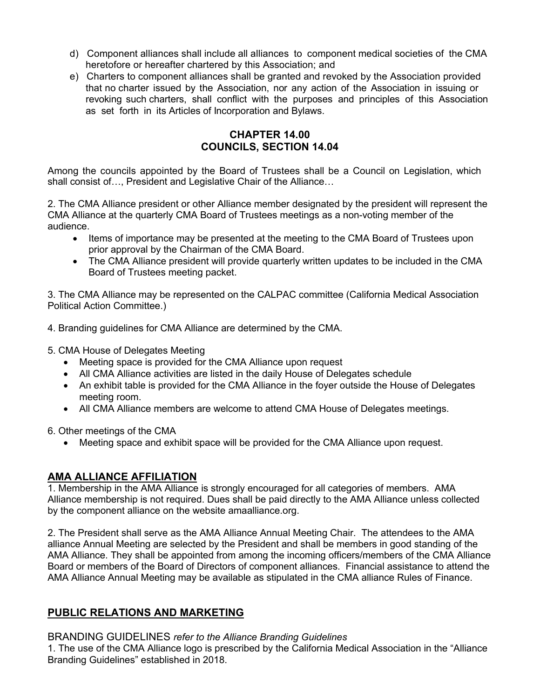- d) Component alliances shall include all alliances to component medical societies of the CMA heretofore or hereafter chartered by this Association; and
- e) Charters to component alliances shall be granted and revoked by the Association provided that no charter issued by the Association, nor any action of the Association in issuing or revoking such charters, shall conflict with the purposes and principles of this Association as set forth in its Articles of Incorporation and Bylaws.

# **CHAPTER 14.00 COUNCILS, SECTION 14.04**

Among the councils appointed by the Board of Trustees shall be a Council on Legislation, which shall consist of…, President and Legislative Chair of the Alliance…

2. The CMA Alliance president or other Alliance member designated by the president will represent the CMA Alliance at the quarterly CMA Board of Trustees meetings as a non-voting member of the audience.

- Items of importance may be presented at the meeting to the CMA Board of Trustees upon prior approval by the Chairman of the CMA Board.
- The CMA Alliance president will provide quarterly written updates to be included in the CMA Board of Trustees meeting packet.

3. The CMA Alliance may be represented on the CALPAC committee (California Medical Association Political Action Committee.)

4. Branding guidelines for CMA Alliance are determined by the CMA.

5. CMA House of Delegates Meeting

- Meeting space is provided for the CMA Alliance upon request
- All CMA Alliance activities are listed in the daily House of Delegates schedule
- An exhibit table is provided for the CMA Alliance in the foyer outside the House of Delegates meeting room.
- All CMA Alliance members are welcome to attend CMA House of Delegates meetings.

6. Other meetings of the CMA

• Meeting space and exhibit space will be provided for the CMA Alliance upon request.

# **AMA ALLIANCE AFFILIATION**

1. Membership in the AMA Alliance is strongly encouraged for all categories of members. AMA Alliance membership is not required. Dues shall be paid directly to the AMA Alliance unless collected by the component alliance on the website amaalliance.org.

2. The President shall serve as the AMA Alliance Annual Meeting Chair. The attendees to the AMA alliance Annual Meeting are selected by the President and shall be members in good standing of the AMA Alliance. They shall be appointed from among the incoming officers/members of the CMA Alliance Board or members of the Board of Directors of component alliances. Financial assistance to attend the AMA Alliance Annual Meeting may be available as stipulated in the CMA alliance Rules of Finance.

# **PUBLIC RELATIONS AND MARKETING**

BRANDING GUIDELINES *refer to the Alliance Branding Guidelines*

1. The use of the CMA Alliance logo is prescribed by the California Medical Association in the "Alliance Branding Guidelines" established in 2018.